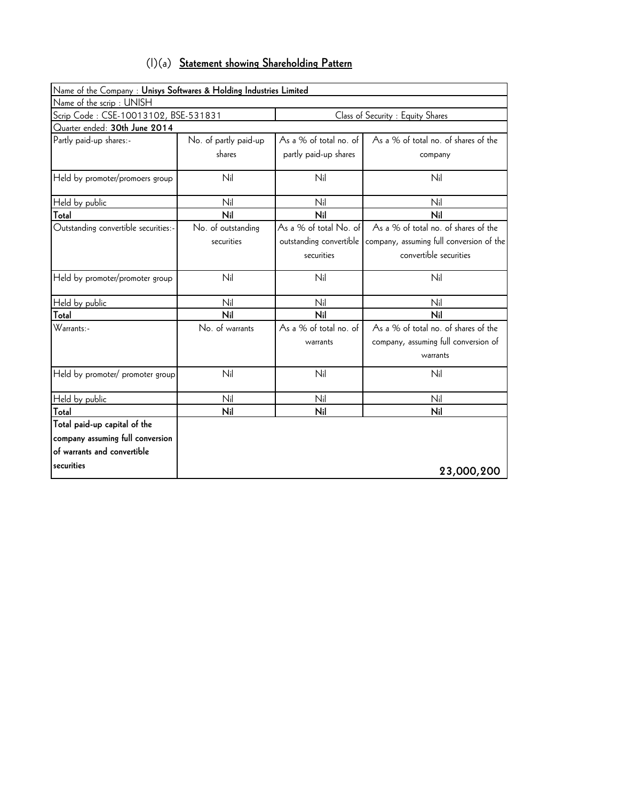| $(1)(a)$ Statement showing Shareholding Pattern |
|-------------------------------------------------|
|-------------------------------------------------|

| Name of the Company : Unisys Softwares & Holding Industries Limited |                       |                         |                                          |
|---------------------------------------------------------------------|-----------------------|-------------------------|------------------------------------------|
| Name of the scrip: UNISH                                            |                       |                         |                                          |
| Scrip Code: CSE-10013102, BSE-531831                                |                       |                         | Class of Security : Equity Shares        |
| Quarter ended: 30th June 2014                                       |                       |                         |                                          |
| Partly paid-up shares:-                                             | No. of partly paid-up | As a % of total no. of  | As a % of total no. of shares of the     |
|                                                                     | shares                | partly paid-up shares   | company                                  |
| Held by promoter/promoers group                                     | Nil                   | Nil                     | Nil                                      |
| Held by public                                                      | Nil                   | Nil                     | Nil                                      |
| Total                                                               | Nil                   | Nil                     | Nil                                      |
| Outstanding convertible securities:-                                | No. of outstanding    | As a % of total No. of  | As a % of total no. of shares of the     |
|                                                                     | securities            | outstanding convertible | company, assuming full conversion of the |
|                                                                     |                       | securities              | convertible securities                   |
| Held by promoter/promoter group                                     | Nil                   | Nil                     | Nil                                      |
| Held by public                                                      | Nil                   | Nil                     | Nil                                      |
| Total                                                               | Nil                   | Nil                     | Nil                                      |
| Warrants:-                                                          | No. of warrants       | As a % of total no. of  | As a % of total no. of shares of the     |
|                                                                     |                       | warrants                | company, assuming full conversion of     |
|                                                                     |                       |                         | warrants                                 |
| Held by promoter/ promoter group                                    | Nil                   | Nil                     | Nil                                      |
| Held by public                                                      | Nil                   | Nil                     | Nil                                      |
| Total                                                               | Nil                   | Nil                     | Nil                                      |
| Total paid-up capital of the                                        |                       |                         |                                          |
| company assuming full conversion                                    |                       |                         |                                          |
| of warrants and convertible                                         |                       |                         |                                          |
| securities                                                          |                       |                         | 23,000,200                               |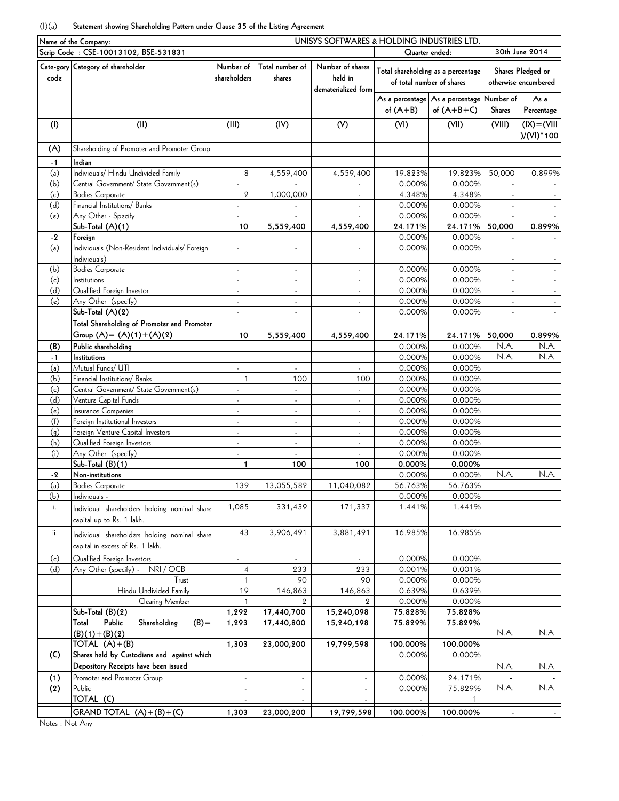## (I)(a) **Statement showing Shareholding Pattern under Clause 35 of the Listing Agreement**

|            | Name of the Company:                                                              | UNISYS SOFTWARES & HOLDING INDUSTRIES LTD. |                             |                                                    |                           |                                               |               |                                           |
|------------|-----------------------------------------------------------------------------------|--------------------------------------------|-----------------------------|----------------------------------------------------|---------------------------|-----------------------------------------------|---------------|-------------------------------------------|
|            | Scrip Code: CSE-10013102, BSE-531831                                              |                                            |                             |                                                    | Quarter ended:            |                                               |               | 30th June 2014                            |
| code       | Cate-gory Category of shareholder                                                 | Number of<br>shareholders                  | Total number of<br>shares   | Number of shares<br>held in<br>dematerialized form | of total number of shares | Total shareholding as a percentage            |               | Shares Pledged or<br>otherwise encumbered |
|            |                                                                                   |                                            |                             |                                                    |                           | As a percentage   As a percentage   Number of |               | As a                                      |
|            |                                                                                   |                                            |                             |                                                    | of $(A+B)$                | of $(A+B+C)$                                  | <b>Shares</b> | Percentage                                |
| (1)        | (II)                                                                              | (III)                                      | (IV)                        | (V)                                                | (VI)                      | (VII)                                         | (VIII)        | $(IX) = (VIII)$<br>)/(VI) * 100           |
| (A)        | Shareholding of Promoter and Promoter Group                                       |                                            |                             |                                                    |                           |                                               |               |                                           |
| $-1$       | Indian                                                                            |                                            |                             |                                                    |                           |                                               |               |                                           |
| (a)        | Individuals/ Hindu Undivided Family                                               | 8                                          | 4,559,400                   | 4,559,400                                          | 19.823%                   | 19.823%                                       | 50,000        | 0.899%                                    |
| (b)        | Central Government/ State Government(s)                                           |                                            |                             |                                                    | 0.000%                    | 0.000%                                        |               |                                           |
| (c)        | <b>Bodies Corporate</b>                                                           | $\overline{2}$                             | 1,000,000                   | ÷.                                                 | 4.348%                    | 4.348%                                        |               |                                           |
| (d)        | Financial Institutions/ Banks                                                     | $\overline{\phantom{a}}$                   |                             | $\overline{\phantom{a}}$                           | 0.000%                    | 0.000%                                        |               |                                           |
| (e)        | Any Other - Specify                                                               | ÷,                                         |                             | ÷.                                                 | 0.000%                    | 0.000%                                        |               |                                           |
|            | Sub-Total $(A)(1)$                                                                | 10                                         | 5,559,400                   | 4,559,400                                          | 24.171%                   | 24.171%                                       | 50,000        | 0.899%                                    |
| $-2$       | Foreign                                                                           |                                            |                             |                                                    | 0.000%                    | 0.000%                                        |               |                                           |
| (a)        | Individuals (Non-Resident Individuals/ Foreign<br>Individuals)                    | ÷,                                         |                             |                                                    | 0.000%                    | 0.000%                                        |               |                                           |
| (b)        | <b>Bodies Corporate</b>                                                           | ÷,                                         |                             |                                                    | 0.000%                    | 0.000%                                        |               |                                           |
| (c)        | Institutions                                                                      | L.                                         | $\omega$                    | ä,                                                 | 0.000%                    | 0.000%                                        |               | $\sim$                                    |
| (d)        | Qualified Foreign Investor                                                        | $\overline{\phantom{a}}$                   | $\overline{\phantom{a}}$    | $\overline{\phantom{a}}$                           | 0.000%                    | 0.000%                                        |               |                                           |
| (e)        | Any Other (specify)                                                               | ÷,                                         |                             |                                                    | 0.000%                    | 0.000%                                        |               |                                           |
|            | Sub-Total $(A)(2)$                                                                | ÷,                                         |                             | ä,                                                 | 0.000%                    | 0.000%                                        |               |                                           |
|            | Total Shareholding of Promoter and Promoter                                       |                                            |                             |                                                    |                           |                                               |               |                                           |
|            | Group $(A) = (A)(1) + (A)(2)$                                                     | 10                                         | 5,559,400                   | 4,559,400                                          | 24.171%                   | 24.171%                                       | 50,000        | 0.899%                                    |
| (B)        | Public shareholding                                                               |                                            |                             |                                                    | 0.000%                    | 0.000%                                        | N.A.          | N.A.                                      |
| $-1$       | Institutions                                                                      |                                            |                             |                                                    | 0.000%                    | 0.000%                                        | N.A.          | N.A.                                      |
| (a)        | Mutual Funds/ UTI                                                                 | ÷,                                         |                             |                                                    | 0.000%                    | 0.000%                                        |               |                                           |
| (b)        | Financial Institutions/ Banks                                                     | 1                                          | 100                         | 100                                                | 0.000%                    | 0.000%                                        |               |                                           |
| (c)        | Central Government/ State Government(s)                                           |                                            | $\mathcal{L}_{\mathcal{A}}$ | ä,                                                 | 0.000%                    | 0.000%                                        |               |                                           |
| (d)        | Venture Capital Funds                                                             | $\overline{\phantom{a}}$                   | $\overline{\phantom{a}}$    | $\blacksquare$                                     | 0.000%                    | 0.000%                                        |               |                                           |
| (e)        | Insurance Companies                                                               |                                            |                             |                                                    | 0.000%                    | 0.000%                                        |               |                                           |
| (f)<br>(g) | Foreign Institutional Investors<br>Foreign Venture Capital Investors              | ÷,<br>$\overline{a}$                       | ÷.<br>÷.                    | ÷.<br>$\omega$                                     | 0.000%<br>0.000%          | 0.000%<br>0.000%                              |               |                                           |
| (h)        | Qualified Foreign Investors                                                       | $\blacksquare$                             | $\blacksquare$              | $\blacksquare$                                     | 0.000%                    | 0.000%                                        |               |                                           |
| (i)        | Any Other (specify)                                                               | ÷,                                         |                             |                                                    | 0.000%                    | 0.000%                                        |               |                                           |
|            | Sub-Total (B)(1)                                                                  | 1                                          | 100                         | 100                                                | 0.000%                    | 0.000%                                        |               |                                           |
| -2         | Non-institutions                                                                  |                                            |                             |                                                    | 0.000%                    | 0.000%                                        | N.A.          | N.A.                                      |
| (a)        | <b>Bodies Corporate</b>                                                           | 139                                        | 13.055.589                  | 11.040.082                                         | 56.763%                   | 56.763%                                       |               |                                           |
| (b)        | Individuals -                                                                     |                                            |                             |                                                    | 0.000%                    | 0.000%                                        |               |                                           |
| i.         | Individual shareholders holding nominal share<br>capital up to Rs. 1 lakh.        | 1,085                                      | 331,439                     | 171,337                                            | 1.441%                    | 1.441%                                        |               |                                           |
| ii.        | Individual shareholders holding nominal share<br>capital in excess of Rs. 1 lakh. | 43                                         | 3,906,491                   | 3,881,491                                          | 16.985%                   | 16.985%                                       |               |                                           |
| (c)        | Qualified Foreign Investors                                                       | ä,                                         | $\sim$                      |                                                    | 0.000%                    | 0.000%                                        |               |                                           |
| (d)        | NRI / OCB<br>Any Other (specify) -                                                | 4                                          | 233                         | 233                                                | 0.001%                    | 0.001%                                        |               |                                           |
|            | Trust                                                                             |                                            | 90                          | 90                                                 | 0.000%                    | 0.000%                                        |               |                                           |
|            | Hindu Undivided Family                                                            | 19                                         | 146,863                     | 146,863                                            | 0.639%                    | 0.639%                                        |               |                                           |
|            | Clearing Member                                                                   | $\mathbf{1}$                               | $\mathbf{2}$                | $\mathbf{Q}$                                       | 0.000%                    | 0.000%                                        |               |                                           |
|            | $Sub-Total (B)(2)$                                                                | 1,292                                      | 17,440,700                  | 15,240,098                                         | 75.828%                   | 75.828%                                       |               |                                           |
|            | Public<br>Shareholding<br>$(B) =$<br>Total<br>$(B)(1)+(B)(2)$                     | 1,293                                      | 17,440,800                  | 15,240,198                                         | 75.829%                   | 75.829%                                       | N.A.          | N.A.                                      |
|            | TOTAL $(A)+(B)$                                                                   | 1,303                                      | 23,000,200                  | 19,799,598                                         | 100.000%                  | 100.000%                                      |               |                                           |
| (C)        | Shares held by Custodians and against which                                       |                                            |                             |                                                    | 0.000%                    | 0.000%                                        |               |                                           |
|            | Depository Receipts have been issued                                              |                                            |                             |                                                    |                           |                                               | N.A.          | N.A.                                      |
| (1)        | Promoter and Promoter Group                                                       | $\mathcal{L}_{\mathcal{A}}$                | $\blacksquare$              |                                                    | 0.000%                    | 24.171%                                       |               |                                           |
| (2)        | Public<br>TOTAL (C)                                                               |                                            |                             |                                                    | 0.000%                    | 75.829%<br>1                                  | N.A.          | N.A.                                      |
|            |                                                                                   |                                            |                             |                                                    |                           |                                               |               |                                           |
|            | GRAND TOTAL $(A)+(B)+(C)$                                                         | 1,303                                      | 23,000,200                  | 19,799,598                                         | 100.000%                  | 100.000%                                      |               |                                           |

.

Notes : Not Any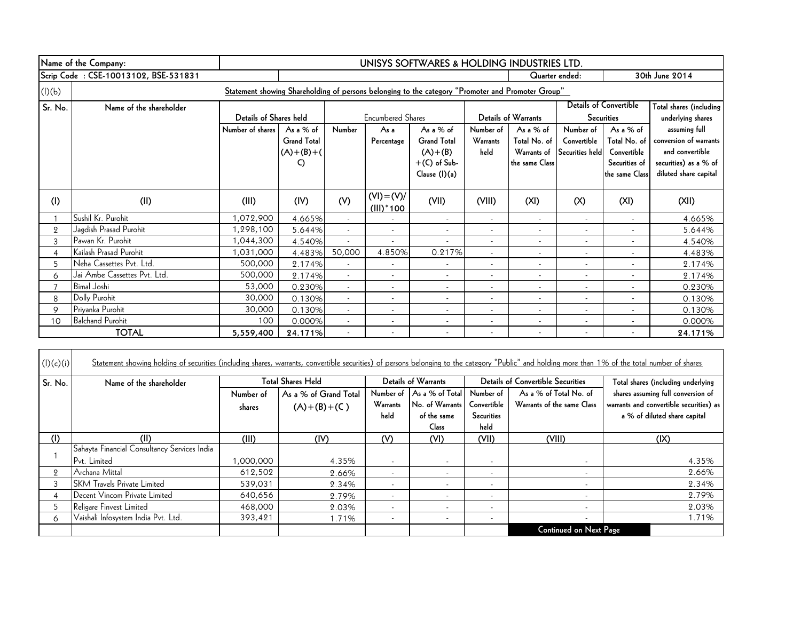|                | Name of the Company:                                                                              | UNISYS SOFTWARES & HOLDING INDUSTRIES LTD. |                    |                          |                                |                          |                          |                            |                          |                               |                         |
|----------------|---------------------------------------------------------------------------------------------------|--------------------------------------------|--------------------|--------------------------|--------------------------------|--------------------------|--------------------------|----------------------------|--------------------------|-------------------------------|-------------------------|
|                | Scrip Code: CSE-10013102, BSE-531831                                                              |                                            | Quarter ended:     |                          |                                |                          |                          |                            | 30th June 2014           |                               |                         |
| (l)(b)         | Statement showing Shareholding of persons belonging to the category "Promoter and Promoter Group" |                                            |                    |                          |                                |                          |                          |                            |                          |                               |                         |
| Sr. No.        | Name of the shareholder                                                                           |                                            |                    |                          |                                |                          |                          |                            |                          | <b>Details of Convertible</b> | Total shares (including |
|                |                                                                                                   | Details of Shares held                     |                    |                          | <b>Encumbered Shares</b>       |                          |                          | <b>Details of Warrants</b> |                          | <b>Securities</b>             | underlying shares       |
|                |                                                                                                   | Number of shares                           | As a % of          | Number                   | As a                           | As a % of                | Number of                | As a $%$ of                | Number of                | As a % of                     | assuming full           |
|                |                                                                                                   |                                            | <b>Grand Total</b> |                          | Percentage                     | <b>Grand Total</b>       | Warrants                 | Total No. of               | Convertible              | Total No. of                  | conversion of warrants  |
|                |                                                                                                   |                                            | $(A)+(B)+(A)$      |                          |                                | $(A)+(B)$                | held                     | Warrants of                | Securities held          | Convertible                   | and convertible         |
|                |                                                                                                   |                                            | C)                 |                          |                                | $+(C)$ of Sub-           |                          | the same Class             |                          | Securities of                 | securities) as a % of   |
|                |                                                                                                   |                                            |                    |                          |                                | Clause (I)(a)            |                          |                            |                          | the same Class                | diluted share capital   |
| (1)            | (II)                                                                                              | (III)                                      | (IV)               | (V)                      | $(VI) = (V)/$<br>$(III)^*$ 100 | (VII)                    | (VIII)                   | (XI)                       | (X)                      | (XI)                          | (X  )                   |
|                | Sushil Kr. Purohit                                                                                | 1,072,900                                  | 4.665%             | $\sim$                   |                                | $\overline{\phantom{a}}$ | $\overline{\phantom{a}}$ | $\overline{\phantom{a}}$   | $\overline{\phantom{a}}$ | $\overline{\phantom{a}}$      | 4.665%                  |
| $\overline{2}$ | Jagdish Prasad Purohit                                                                            | 1,298,100                                  | 5.644%             | $\overline{\phantom{a}}$ | $\overline{\phantom{0}}$       | $\overline{\phantom{a}}$ |                          |                            | $\overline{\phantom{a}}$ |                               | 5.644%                  |
| 3              | Pawan Kr. Purohit                                                                                 | 1,044,300                                  | 4.540%             |                          |                                | $\overline{\phantom{a}}$ |                          |                            | $\overline{\phantom{a}}$ | $\overline{\phantom{a}}$      | 4.540%                  |
| 4              | Kailash Prasad Purohit                                                                            | 1,031,000                                  | 4.483%             | 50,000                   | 4.850%                         | 0.217%                   | $\overline{\phantom{a}}$ |                            | $\sim$                   | $\overline{\phantom{a}}$      | 4.483%                  |
| 5              | Neha Cassettes Pvt. Ltd.                                                                          | 500,000                                    | 2.174%             | $\sim$                   | $\overline{\phantom{0}}$       | $\overline{\phantom{a}}$ | $\overline{\phantom{a}}$ | $\overline{\phantom{a}}$   | $\overline{\phantom{a}}$ | $\overline{\phantom{a}}$      | 2.174%                  |
| 6              | Jai Ambe Cassettes Pvt. Ltd.                                                                      | 500,000                                    | 2.174%             | $\overline{\phantom{0}}$ |                                | $\overline{\phantom{a}}$ |                          |                            |                          |                               | 2.174%                  |
|                | <b>Bimal Joshi</b>                                                                                | 53,000                                     | 0.230%             | $\overline{\phantom{a}}$ |                                | $\overline{\phantom{a}}$ |                          |                            |                          |                               | 0.230%                  |
| 8              | Dolly Purohit                                                                                     | 30,000                                     | 0.130%             | $\overline{\phantom{a}}$ |                                | $\overline{\phantom{a}}$ | $\overline{\phantom{a}}$ |                            | $\overline{\phantom{0}}$ |                               | 0.130%                  |
| 9              | Priyanka Purohit                                                                                  | 30,000                                     | 0.130%             | $\overline{\phantom{a}}$ | $\overline{\phantom{a}}$       | $\overline{\phantom{a}}$ | $\overline{\phantom{a}}$ |                            | $\overline{\phantom{a}}$ | $\overline{\phantom{a}}$      | 0.130%                  |
| 10             | <b>Balchand Purohit</b>                                                                           | 100                                        | 0.000%             | $\overline{\phantom{a}}$ | $\overline{\phantom{a}}$       | $\overline{\phantom{a}}$ | $\overline{\phantom{a}}$ |                            | $\overline{\phantom{a}}$ | $\overline{\phantom{a}}$      | 0.000%                  |
|                | <b>TOTAL</b>                                                                                      | 5,559,400                                  | 24.171%            |                          |                                |                          |                          |                            |                          |                               | 24.171%                 |

| (l)(c)(i) | Statement showing holding of securities (including shares, warrants, convertible securities) of persons belonging to the category "Public" and holding more than 1% of the total number of shares |           |                          |                          |                            |                          |                                          |                                         |
|-----------|---------------------------------------------------------------------------------------------------------------------------------------------------------------------------------------------------|-----------|--------------------------|--------------------------|----------------------------|--------------------------|------------------------------------------|-----------------------------------------|
| Sr. No.   | Name of the shareholder                                                                                                                                                                           |           | <b>Total Shares Held</b> |                          | <b>Details of Warrants</b> |                          | <b>Details of Convertible Securities</b> | Total shares (including underlying      |
|           |                                                                                                                                                                                                   | Number of | As a % of Grand Total    | Number of                | As a % of Total            | Number of                | As a % of Total No. of                   | shares assuming full conversion of      |
|           |                                                                                                                                                                                                   | shares    | $(A)+(B)+(C)$            | Warrants                 | No. of Warrants            | Convertible              | Warrants of the same Class               | warrants and convertible securities) as |
|           |                                                                                                                                                                                                   |           |                          | held                     | of the same                | <b>Securities</b>        |                                          | a % of diluted share capital            |
|           |                                                                                                                                                                                                   |           |                          |                          | Class                      | held                     |                                          |                                         |
| (I)       | (II)                                                                                                                                                                                              | (III)     | (IV)                     | (V)                      | (VI)                       | (VII)                    | (VIII)                                   | (IX)                                    |
|           | Sahayta Financial Consultancy Services India                                                                                                                                                      |           |                          |                          |                            |                          |                                          |                                         |
|           | Pvt. Limited                                                                                                                                                                                      | 1,000,000 | 4.35%                    | $\overline{\phantom{a}}$ | $\overline{\phantom{a}}$   | $\overline{\phantom{a}}$ |                                          | 4.35%                                   |
| 9         | Archana Mittal                                                                                                                                                                                    | 612,502   | 2.66%                    | $\overline{\phantom{a}}$ |                            | $\overline{\phantom{a}}$ |                                          | 2.66%                                   |
|           | <b>SKM Travels Private Limited</b>                                                                                                                                                                | 539,031   | 2.34%                    | $\overline{\phantom{a}}$ |                            | $\overline{\phantom{0}}$ |                                          | 2.34%                                   |
|           | Decent Vincom Private Limited                                                                                                                                                                     | 640,656   | 2.79%                    | $\overline{\phantom{a}}$ |                            | $\overline{\phantom{a}}$ |                                          | 2.79%                                   |
|           | Religare Finvest Limited                                                                                                                                                                          | 468,000   | 2.03%                    | $\overline{\phantom{a}}$ | $\overline{\phantom{a}}$   | $\overline{\phantom{a}}$ | $\overline{\phantom{0}}$                 | 2.03%                                   |
| 6         | Vaishali Infosystem India Pvt. Ltd.                                                                                                                                                               | 393,421   | 1.71%                    | $\overline{\phantom{a}}$ | $\overline{\phantom{a}}$   | $\overline{\phantom{a}}$ | $\overline{\phantom{0}}$                 | 1.71%                                   |
|           |                                                                                                                                                                                                   |           |                          |                          |                            |                          | <b>Continued on Next Page</b>            |                                         |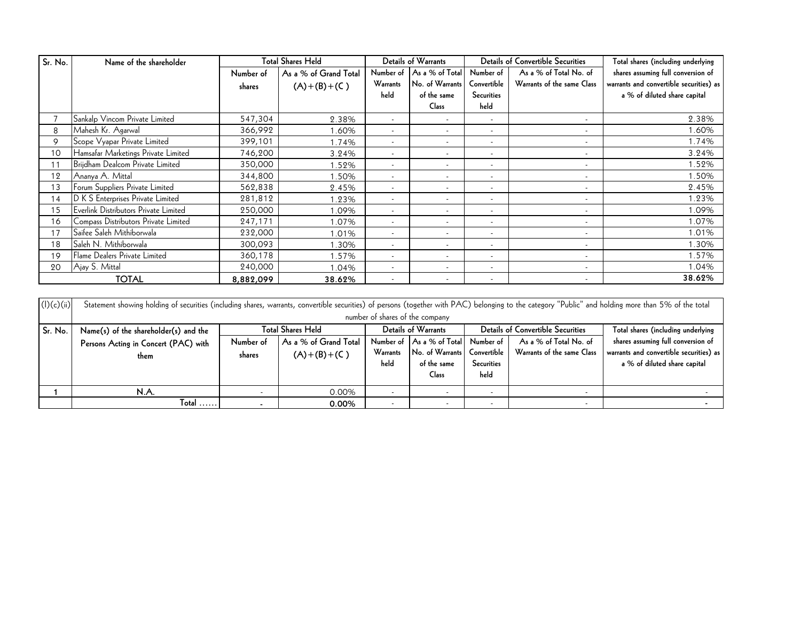| Sr. No. | Name of the shareholder               | <b>Total Shares Held</b> |                       | <b>Details of Warrants</b> |                          |                          | <b>Details of Convertible Securities</b> | Total shares (including underlying      |
|---------|---------------------------------------|--------------------------|-----------------------|----------------------------|--------------------------|--------------------------|------------------------------------------|-----------------------------------------|
|         |                                       | Number of                | As a % of Grand Total | Number of                  | As a % of Total          | Number of                | As a % of Total No. of                   | shares assuming full conversion of      |
|         |                                       | shares                   | $(A)+(B)+(C)$         | Warrants                   | No. of Warrants          | Convertible              | Warrants of the same Class               | warrants and convertible securities) as |
|         |                                       |                          |                       | held                       | of the same              | <b>Securities</b>        |                                          | a % of diluted share capital            |
|         |                                       |                          |                       |                            | Class                    | held                     |                                          |                                         |
|         | Sankalp Vincom Private Limited        | 547,304                  | 2.38%                 | $\overline{\phantom{a}}$   |                          | $\overline{\phantom{a}}$ |                                          | 2.38%                                   |
| 8       | Mahesh Kr. Agarwal                    | 366,992                  | .60%                  | $\overline{\phantom{a}}$   | $\overline{\phantom{a}}$ | $\overline{\phantom{a}}$ | $\overline{\phantom{a}}$                 | 1.60%                                   |
| 9       | Scope Vyapar Private Limited          | 399,101                  | 1.74%                 | $\overline{\phantom{a}}$   |                          | $\overline{\phantom{a}}$ |                                          | 1.74%                                   |
| 10      | Hamsafar Marketings Private Limited   | 746,200                  | 3.24%                 | $\overline{\phantom{a}}$   |                          | $\overline{\phantom{a}}$ | $\overline{\phantom{a}}$                 | 3.24%                                   |
| 11      | Brijdham Dealcom Private Limited      | 350,000                  | .52%                  | $\overline{\phantom{a}}$   |                          | $\overline{\phantom{a}}$ | $\overline{\phantom{a}}$                 | 1.52%                                   |
| 12      | Ananya A. Mittal                      | 344,800                  | .50%                  |                            |                          | $\overline{\phantom{a}}$ |                                          | 1.50%                                   |
| 13      | Forum Suppliers Private Limited       | 562,838                  | 2.45%                 | $\overline{\phantom{a}}$   | $\overline{\phantom{a}}$ | $\overline{\phantom{a}}$ | $\overline{\phantom{a}}$                 | 2.45%                                   |
| 14      | D K S Enterprises Private Limited     | 281,812                  | .23%                  | $\overline{\phantom{a}}$   | $\overline{\phantom{a}}$ | $\overline{\phantom{a}}$ | $\overline{\phantom{a}}$                 | 1.23%                                   |
| 15      | Everlink Distributors Private Limited | 250,000                  | 1.09%                 | $\overline{\phantom{a}}$   |                          | $\overline{\phantom{a}}$ | $\overline{\phantom{a}}$                 | 1.09%                                   |
| 16      | Compass Distributors Private Limited  | 247,171                  | 1.07%                 |                            |                          | $\overline{\phantom{a}}$ | $\overline{\phantom{a}}$                 | 1.07%                                   |
| 17      | Saifee Saleh Mithiborwala             | 232,000                  | 1.01%                 | $\overline{\phantom{a}}$   |                          | $\overline{\phantom{a}}$ | $\overline{\phantom{a}}$                 | 1.01%                                   |
| 18      | Saleh N. Mithiborwala                 | 300,093                  | .30%                  | $\overline{\phantom{a}}$   |                          | $\overline{\phantom{a}}$ |                                          | 1.30%                                   |
| 19      | Flame Dealers Private Limited         | 360,178                  | .57%                  | $\overline{\phantom{a}}$   | $\overline{\phantom{a}}$ | $\overline{\phantom{a}}$ | $\overline{\phantom{a}}$                 | 1.57%                                   |
| 20      | Ajay S. Mittal                        | 240,000                  | 1.04%                 | $\overline{\phantom{a}}$   | $\overline{\phantom{a}}$ | $\overline{\phantom{a}}$ | $\overline{\phantom{a}}$                 | 1.04%                                   |
|         | <b>TOTAL</b>                          | 8,882,099                | 38.62%                | $\overline{\phantom{a}}$   |                          | $\overline{\phantom{a}}$ | $\overline{\phantom{a}}$                 | 38.62%                                  |

| <b>TOTAL</b><br>8,882,099<br>38.62%<br>Statement showing holding of securities (including shares, warrants, convertible securities) of persons (together with PAC) belonging to the category "Public" and holding more than 5% of the total<br>number of shares of the company<br><b>Total Shares Held</b><br><b>Details of Convertible Securities</b><br>Details of Warrants<br>Sr. No.<br>Total shares (including underlying<br>Name(s) of the shareholder(s) and the<br>Number of As a % of Total<br>As a % of Total No. of<br>shares assuming full conversion of<br>Number of<br>As a % of Grand Total<br>Number of | 38.62% |
|-------------------------------------------------------------------------------------------------------------------------------------------------------------------------------------------------------------------------------------------------------------------------------------------------------------------------------------------------------------------------------------------------------------------------------------------------------------------------------------------------------------------------------------------------------------------------------------------------------------------------|--------|
|                                                                                                                                                                                                                                                                                                                                                                                                                                                                                                                                                                                                                         |        |
| (l)(c)(ii)                                                                                                                                                                                                                                                                                                                                                                                                                                                                                                                                                                                                              |        |
|                                                                                                                                                                                                                                                                                                                                                                                                                                                                                                                                                                                                                         |        |
|                                                                                                                                                                                                                                                                                                                                                                                                                                                                                                                                                                                                                         |        |
|                                                                                                                                                                                                                                                                                                                                                                                                                                                                                                                                                                                                                         |        |
| Persons Acting in Concert (PAC) with                                                                                                                                                                                                                                                                                                                                                                                                                                                                                                                                                                                    |        |
| warrants and convertible securities) as<br>Warrants of the same Class<br>No. of Warrants<br>Convertible<br>Warrants<br>$(A)+(B)+(C)$<br>shares<br>them                                                                                                                                                                                                                                                                                                                                                                                                                                                                  |        |
| a % of diluted share capital<br>held<br>of the same<br><b>Securities</b>                                                                                                                                                                                                                                                                                                                                                                                                                                                                                                                                                |        |
| held<br><b>Class</b>                                                                                                                                                                                                                                                                                                                                                                                                                                                                                                                                                                                                    |        |
| N.A.<br>0.00%<br>$\overline{\phantom{a}}$<br>$\overline{\phantom{a}}$                                                                                                                                                                                                                                                                                                                                                                                                                                                                                                                                                   |        |
| Total<br>0.00%<br>$\overline{\phantom{a}}$<br>$\overline{\phantom{a}}$<br>$\overline{\phantom{0}}$<br>$\blacksquare$                                                                                                                                                                                                                                                                                                                                                                                                                                                                                                    |        |